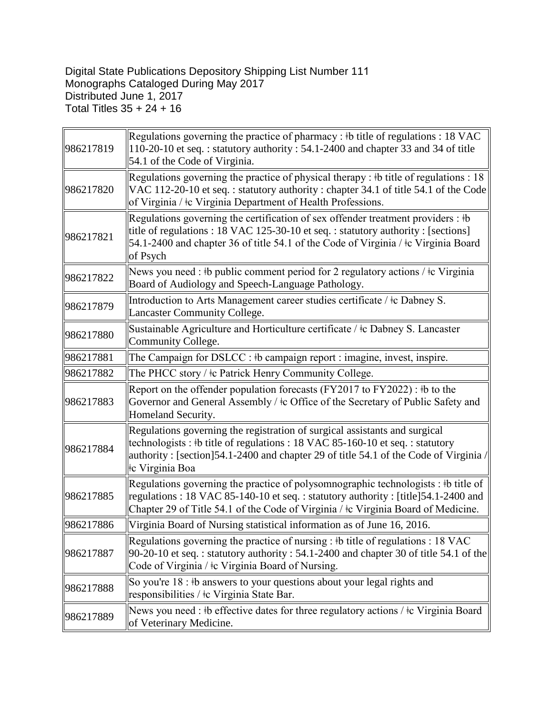## Digital State Publications Depository Shipping List Number 111 Monographs Cataloged During May 2017 Distributed June 1, 2017 Total Titles 35 + 24 + 16

| 986217819 | Regulations governing the practice of pharmacy : #b title of regulations : 18 VAC<br>110-20-10 et seq.: statutory authority: 54.1-2400 and chapter 33 and 34 of title<br>54.1 of the Code of Virginia.                                                                    |
|-----------|---------------------------------------------------------------------------------------------------------------------------------------------------------------------------------------------------------------------------------------------------------------------------|
| 986217820 | Regulations governing the practice of physical therapy : $\frac{1}{2}$ to title of regulations : 18<br>VAC 112-20-10 et seq.: statutory authority: chapter 34.1 of title 54.1 of the Code<br>of Virginia / ‡c Virginia Department of Health Professions.                  |
| 986217821 | Regulations governing the certification of sex offender treatment providers : #b<br>title of regulations : 18 VAC 125-30-10 et seq. : statutory authority : [sections]<br>54.1-2400 and chapter 36 of title 54.1 of the Code of Virginia / ‡c Virginia Board<br>of Psych  |
| 986217822 | News you need : #b public comment period for 2 regulatory actions / $\pm c$ Virginia<br>Board of Audiology and Speech-Language Pathology.                                                                                                                                 |
| 986217879 | Introduction to Arts Management career studies certificate / ‡c Dabney S.<br>Lancaster Community College.                                                                                                                                                                 |
| 986217880 | Sustainable Agriculture and Horticulture certificate / ‡c Dabney S. Lancaster<br>Community College.                                                                                                                                                                       |
| 986217881 | The Campaign for DSLCC : #b campaign report : imagine, invest, inspire.                                                                                                                                                                                                   |
| 986217882 | The PHCC story / ‡c Patrick Henry Community College.                                                                                                                                                                                                                      |
| 986217883 | Report on the offender population forecasts (FY2017 to FY2022) : $\frac{1}{2}$ to the<br>Governor and General Assembly / ‡c Office of the Secretary of Public Safety and<br>Homeland Security.                                                                            |
| 986217884 | Regulations governing the registration of surgical assistants and surgical<br>technologists : #b title of regulations : 18 VAC 85-160-10 et seq. : statutory<br>authority: [section]54.1-2400 and chapter 29 of title 54.1 of the Code of Virginia $/$<br>te Virginia Boa |
| 986217885 | Regulations governing the practice of polysomnographic technologists: #b title of<br>regulations: 18 VAC 85-140-10 et seq.: statutory authority: [title]54.1-2400 and<br>Chapter 29 of Title 54.1 of the Code of Virginia / ‡c Virginia Board of Medicine.                |
| 986217886 | Virginia Board of Nursing statistical information as of June 16, 2016.                                                                                                                                                                                                    |
| 986217887 | Regulations governing the practice of nursing : $\frac{1}{2}$ title of regulations : 18 VAC<br>$90-20-10$ et seq.: statutory authority: 54.1-2400 and chapter 30 of title 54.1 of the<br>Code of Virginia / ‡c Virginia Board of Nursing.                                 |
| 986217888 | So you're 18 : #b answers to your questions about your legal rights and<br>responsibilities / ‡c Virginia State Bar.                                                                                                                                                      |
| 986217889 | News you need : #b effective dates for three regulatory actions / #c Virginia Board<br>of Veterinary Medicine.                                                                                                                                                            |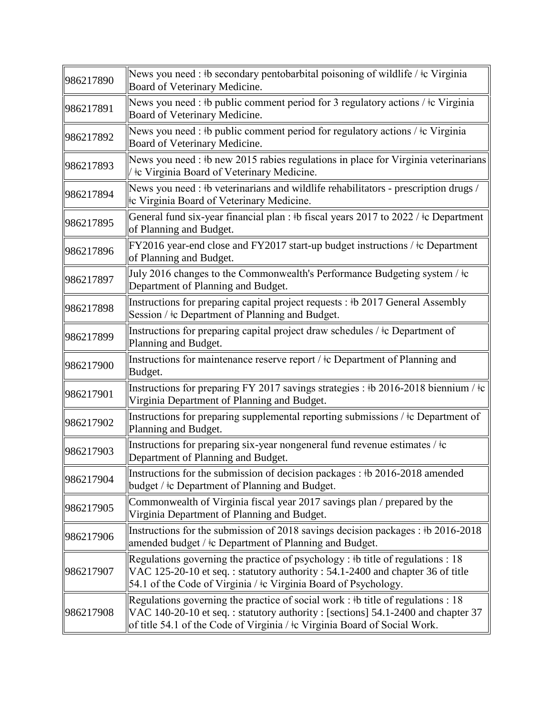| 986217890 | News you need : #b secondary pentobarbital poisoning of wildlife / $\pm c$ Virginia<br>Board of Veterinary Medicine.                                                                                                                                        |
|-----------|-------------------------------------------------------------------------------------------------------------------------------------------------------------------------------------------------------------------------------------------------------------|
| 986217891 | News you need : #b public comment period for 3 regulatory actions / $\pm c$ Virginia<br>Board of Veterinary Medicine.                                                                                                                                       |
| 986217892 | News you need : #b public comment period for regulatory actions / $\pm c$ Virginia<br>Board of Veterinary Medicine.                                                                                                                                         |
| 986217893 | News you need : #b new 2015 rabies regulations in place for Virginia veterinarians<br>te Virginia Board of Veterinary Medicine.                                                                                                                             |
| 986217894 | News you need : #b veterinarians and wildlife rehabilitators - prescription drugs /<br>te Virginia Board of Veterinary Medicine.                                                                                                                            |
| 986217895 | General fund six-year financial plan : #b fiscal years 2017 to 2022 / #c Department<br>of Planning and Budget.                                                                                                                                              |
| 986217896 | FY2016 year-end close and FY2017 start-up budget instructions / ‡c Department<br>of Planning and Budget.                                                                                                                                                    |
| 986217897 | July 2016 changes to the Commonwealth's Performance Budgeting system / $\pm c$<br>Department of Planning and Budget.                                                                                                                                        |
| 986217898 | Instructions for preparing capital project requests : #b 2017 General Assembly<br>Session / ‡c Department of Planning and Budget.                                                                                                                           |
| 986217899 | Instructions for preparing capital project draw schedules / $\pm c$ Department of<br>Planning and Budget.                                                                                                                                                   |
| 986217900 | Instructions for maintenance reserve report / ‡c Department of Planning and<br>Budget.                                                                                                                                                                      |
| 986217901 | Instructions for preparing FY 2017 savings strategies : #b 2016-2018 biennium / $\pm c$<br>Virginia Department of Planning and Budget.                                                                                                                      |
| 986217902 | Instructions for preparing supplemental reporting submissions / ‡c Department of<br>Planning and Budget.                                                                                                                                                    |
| 986217903 | Instructions for preparing six-year nongeneral fund revenue estimates / ‡c<br>Department of Planning and Budget.                                                                                                                                            |
| 986217904 | Instructions for the submission of decision packages : #b 2016-2018 amended<br>budget / ‡c Department of Planning and Budget.                                                                                                                               |
| 986217905 | Commonwealth of Virginia fiscal year 2017 savings plan / prepared by the<br>Virginia Department of Planning and Budget.                                                                                                                                     |
| 986217906 | Instructions for the submission of 2018 savings decision packages : #b 2016-2018<br>amended budget / $\pm c$ Department of Planning and Budget.                                                                                                             |
| 986217907 | Regulations governing the practice of psychology : #b title of regulations : 18<br>VAC 125-20-10 et seq.: statutory authority: 54.1-2400 and chapter 36 of title<br>54.1 of the Code of Virginia / $\pm c$ Virginia Board of Psychology.                    |
| 986217908 | Regulations governing the practice of social work : $\frac{1}{2}$ title of regulations : 18<br>VAC 140-20-10 et seq.: statutory authority: [sections] 54.1-2400 and chapter 37<br>of title 54.1 of the Code of Virginia / ‡c Virginia Board of Social Work. |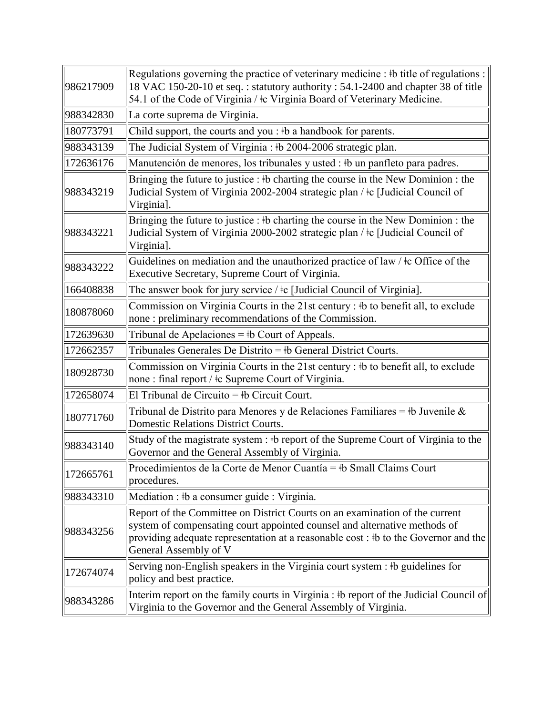| 986217909 | Regulations governing the practice of veterinary medicine : $\#$ title of regulations :<br>18 VAC 150-20-10 et seq.: statutory authority: 54.1-2400 and chapter 38 of title<br>54.1 of the Code of Virginia / ‡c Virginia Board of Veterinary Medicine.                  |
|-----------|--------------------------------------------------------------------------------------------------------------------------------------------------------------------------------------------------------------------------------------------------------------------------|
| 988342830 | La corte suprema de Virginia.                                                                                                                                                                                                                                            |
| 180773791 | Child support, the courts and you : #b a handbook for parents.                                                                                                                                                                                                           |
| 988343139 | The Judicial System of Virginia : #b 2004-2006 strategic plan.                                                                                                                                                                                                           |
| 172636176 | Manutención de menores, los tribunales y usted : ‡b un panfleto para padres.                                                                                                                                                                                             |
| 988343219 | Bringing the future to justice : #b charting the course in the New Dominion : the<br>Judicial System of Virginia 2002-2004 strategic plan / ‡c [Judicial Council of<br>Virginia].                                                                                        |
| 988343221 | Bringing the future to justice : #b charting the course in the New Dominion : the<br>Judicial System of Virginia 2000-2002 strategic plan / ‡c [Judicial Council of<br>Virginia].                                                                                        |
| 988343222 | Guidelines on mediation and the unauthorized practice of law / $\pm$ c Office of the<br>Executive Secretary, Supreme Court of Virginia.                                                                                                                                  |
| 166408838 | The answer book for jury service / ‡c [Judicial Council of Virginia].                                                                                                                                                                                                    |
| 180878060 | Commission on Virginia Courts in the 21st century : #b to benefit all, to exclude<br>none : preliminary recommendations of the Commission.                                                                                                                               |
| 172639630 | Tribunal de Apelaciones = $\frac{1}{2}$ b Court of Appeals.                                                                                                                                                                                                              |
| 172662357 | Tribunales Generales De Distrito = $\frac{1}{2}$ b General District Courts.                                                                                                                                                                                              |
| 180928730 | Commission on Virginia Courts in the 21st century : #b to benefit all, to exclude<br>none : final report / $\pm c$ Supreme Court of Virginia.                                                                                                                            |
| 172658074 | El Tribunal de Circuito = $\frac{1}{2}$ b Circuit Court.                                                                                                                                                                                                                 |
| 180771760 | Tribunal de Distrito para Menores y de Relaciones Familiares = $\frac{1}{2}$ b Juvenile &<br>Domestic Relations District Courts.                                                                                                                                         |
| 988343140 | Study of the magistrate system : #b report of the Supreme Court of Virginia to the<br>Governor and the General Assembly of Virginia.                                                                                                                                     |
| 172665761 | Procedimientos de la Corte de Menor Cuantía = ‡b Small Claims Court<br>procedures.                                                                                                                                                                                       |
| 988343310 | Mediation : #b a consumer guide : Virginia.                                                                                                                                                                                                                              |
| 988343256 | Report of the Committee on District Courts on an examination of the current<br>system of compensating court appointed counsel and alternative methods of<br>providing adequate representation at a reasonable cost : #b to the Governor and the<br>General Assembly of V |
| 172674074 | Serving non-English speakers in the Virginia court system : #b guidelines for<br>policy and best practice.                                                                                                                                                               |
| 988343286 | Interim report on the family courts in Virginia : #b report of the Judicial Council of<br>Virginia to the Governor and the General Assembly of Virginia.                                                                                                                 |